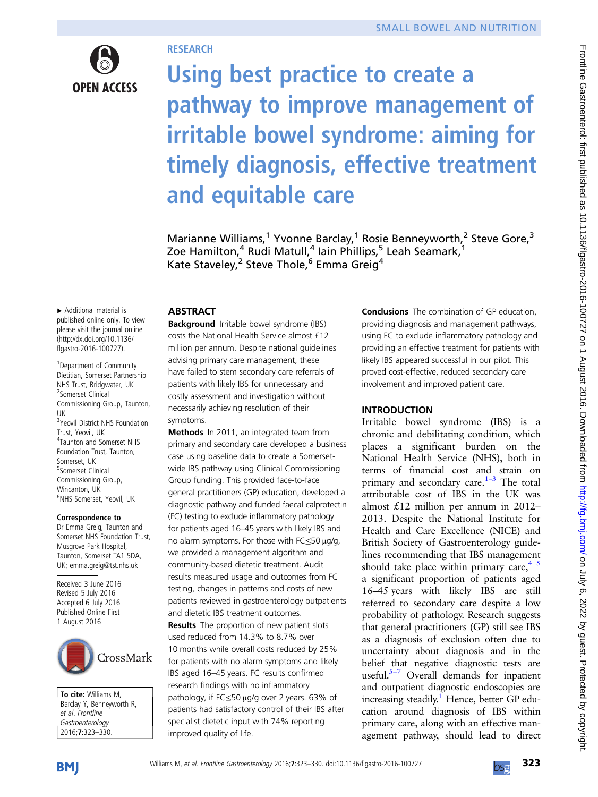

# **RESEARCH**

Using best practice to create a pathway to improve management of irritable bowel syndrome: aiming for timely diagnosis, effective treatment and equitable care

Marianne Williams,<sup>1</sup> Yvonne Barclay,<sup>1</sup> Rosie Benneyworth,<sup>2</sup> Steve Gore,<sup>3</sup> Zoe Hamilton,<sup>4</sup> Rudi Matull,<sup>4</sup> Iain Phillips,<sup>5</sup> Leah Seamark,<sup>1</sup> Kate Staveley,<sup>2</sup> Steve Thole,<sup>6</sup> Emma Greig<sup>4</sup>

▸ Additional material is published online only. To view please visit the journal online ([http://dx.doi.org/10.1136/](http://dx.doi.org/10.1136/flgastro-2016-100727) [flgastro-2016-100727\)](http://dx.doi.org/10.1136/flgastro-2016-100727).

<sup>1</sup> Department of Community Dietitian, Somerset Partnership NHS Trust, Bridgwater, UK 2 Somerset Clinical Commissioning Group, Taunton, UK <sup>3</sup>Yeovil District NHS Foundation Trust, Yeovil, UK 4 Taunton and Somerset NHS Foundation Trust, Taunton, Somerset, LIK 5 Somerset Clinical Commissioning Group, Wincanton, UK <sup>6</sup>NHS Somerset, Yeovil, UK

### Correspondence to

Dr Emma Greig, Taunton and Somerset NHS Foundation Trust, Musgrove Park Hospital, Taunton, Somerset TA1 5DA, UK; emma.greig@tst.nhs.uk

Received 3 June 2016 Revised 5 July 2016 Accepted 6 July 2016 Published Online First 1 August 2016



To cite: Williams M, Barclay Y, Benneyworth R, et al. Frontline<br>Gastroenterology Gastroenterology 2016;7:323–330.

# ABSTRACT

Background Irritable bowel syndrome (IBS) costs the National Health Service almost £12 million per annum. Despite national guidelines advising primary care management, these have failed to stem secondary care referrals of patients with likely IBS for unnecessary and costly assessment and investigation without necessarily achieving resolution of their symptoms.

Methods In 2011, an integrated team from primary and secondary care developed a business case using baseline data to create a Somersetwide IBS pathway using Clinical Commissioning Group funding. This provided face-to-face general practitioners (GP) education, developed a diagnostic pathway and funded faecal calprotectin (FC) testing to exclude inflammatory pathology for patients aged 16–45 years with likely IBS and no alarm symptoms. For those with FC≤50 μg/g, we provided a management algorithm and community-based dietetic treatment. Audit results measured usage and outcomes from FC testing, changes in patterns and costs of new patients reviewed in gastroenterology outpatients and dietetic IBS treatment outcomes. **Results** The proportion of new patient slots used reduced from 14.3% to 8.7% over 10 months while overall costs reduced by 25% for patients with no alarm symptoms and likely IBS aged 16–45 years. FC results confirmed research findings with no inflammatory pathology, if FC≤50 μg/g over 2 years. 63% of patients had satisfactory control of their IBS after specialist dietetic input with 74% reporting improved quality of life.

Conclusions The combination of GP education, providing diagnosis and management pathways, using FC to exclude inflammatory pathology and providing an effective treatment for patients with likely IBS appeared successful in our pilot. This proved cost-effective, reduced secondary care involvement and improved patient care.

# INTRODUCTION

Irritable bowel syndrome (IBS) is a chronic and debilitating condition, which places a significant burden on the National Health Service (NHS), both in terms of financial cost and strain on primary and secondary care.<sup>[1](#page-6-0)-3</sup> The total attributable cost of IBS in the UK was almost £12 million per annum in 2012– 2013. Despite the National Institute for Health and Care Excellence (NICE) and British Society of Gastroenterology guidelines recommending that IBS management should take place within primary care, $4 \times 5$ a significant proportion of patients aged 16–45 years with likely IBS are still referred to secondary care despite a low probability of pathology. Research suggests that general practitioners (GP) still see IBS as a diagnosis of exclusion often due to uncertainty about diagnosis and in the belief that negative diagnostic tests are useful. $5-7$  $5-7$  Overall demands for inpatient and outpatient diagnostic endoscopies are increasing steadily.<sup>1</sup> Hence, better GP education around diagnosis of IBS within primary care, along with an effective management pathway, should lead to direct

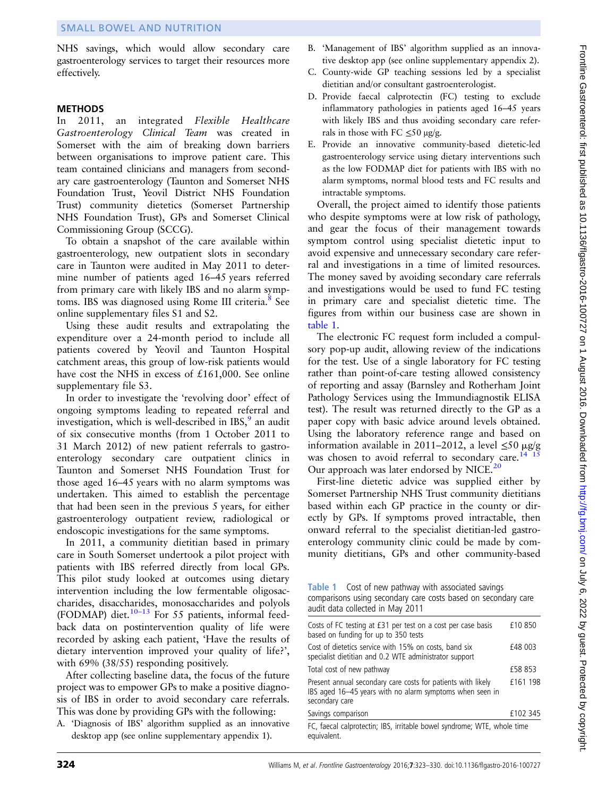NHS savings, which would allow secondary care gastroenterology services to target their resources more effectively.

### **METHODS**

In 2011, an integrated Flexible Healthcare Gastroenterology Clinical Team was created in Somerset with the aim of breaking down barriers between organisations to improve patient care. This team contained clinicians and managers from secondary care gastroenterology (Taunton and Somerset NHS Foundation Trust, Yeovil District NHS Foundation Trust) community dietetics (Somerset Partnership NHS Foundation Trust), GPs and Somerset Clinical Commissioning Group (SCCG).

To obtain a snapshot of the care available within gastroenterology, new outpatient slots in secondary care in Taunton were audited in May 2011 to determine number of patients aged 16–45 years referred from primary care with likely IBS and no alarm symp-toms. IBS was diagnosed using Rome III criteria.<sup>[8](#page-6-0)</sup> See online supplementary files S1 and S2.

Using these audit results and extrapolating the expenditure over a 24-month period to include all patients covered by Yeovil and Taunton Hospital catchment areas, this group of low-risk patients would have cost the NHS in excess of £161,000. See online supplementary file S3.

In order to investigate the 'revolving door' effect of ongoing symptoms leading to repeated referral and investigation, which is well-described in IBS, $\frac{9}{2}$  $\frac{9}{2}$  $\frac{9}{2}$  an audit of six consecutive months (from 1 October 2011 to 31 March 2012) of new patient referrals to gastroenterology secondary care outpatient clinics in Taunton and Somerset NHS Foundation Trust for those aged 16–45 years with no alarm symptoms was undertaken. This aimed to establish the percentage that had been seen in the previous 5 years, for either gastroenterology outpatient review, radiological or endoscopic investigations for the same symptoms.

In 2011, a community dietitian based in primary care in South Somerset undertook a pilot project with patients with IBS referred directly from local GPs. This pilot study looked at outcomes using dietary intervention including the low fermentable oligosaccharides, disaccharides, monosaccharides and polyols (FODMAP) diet. $10-13$  $10-13$  For 55 patients, informal feedback data on postintervention quality of life were recorded by asking each patient, 'Have the results of dietary intervention improved your quality of life?', with 69% (38/55) responding positively.

After collecting baseline data, the focus of the future project was to empower GPs to make a positive diagnosis of IBS in order to avoid secondary care referrals. This was done by providing GPs with the following:

A. 'Diagnosis of IBS' algorithm supplied as an innovative desktop app (see online supplementary appendix 1).

- B. 'Management of IBS' algorithm supplied as an innovative desktop app (see online supplementary appendix 2).
- C. County-wide GP teaching sessions led by a specialist dietitian and/or consultant gastroenterologist.
- D. Provide faecal calprotectin (FC) testing to exclude inflammatory pathologies in patients aged 16–45 years with likely IBS and thus avoiding secondary care referrals in those with  $FC \leq 50 \mu g/g$ .
- E. Provide an innovative community-based dietetic-led gastroenterology service using dietary interventions such as the low FODMAP diet for patients with IBS with no alarm symptoms, normal blood tests and FC results and intractable symptoms.

Overall, the project aimed to identify those patients who despite symptoms were at low risk of pathology, and gear the focus of their management towards symptom control using specialist dietetic input to avoid expensive and unnecessary secondary care referral and investigations in a time of limited resources. The money saved by avoiding secondary care referrals and investigations would be used to fund FC testing in primary care and specialist dietetic time. The figures from within our business case are shown in table 1.

The electronic FC request form included a compulsory pop-up audit, allowing review of the indications for the test. Use of a single laboratory for FC testing rather than point-of-care testing allowed consistency of reporting and assay (Barnsley and Rotherham Joint Pathology Services using the Immundiagnostik ELISA test). The result was returned directly to the GP as a paper copy with basic advice around levels obtained. Using the laboratory reference range and based on information available in 2011–2012, a level  $\leq 50 \text{ }\mu\text{g/g}$ was chosen to avoid referral to secondary care.<sup>14 15</sup> Our approach was later endorsed by NICE. $^{20}$  $^{20}$  $^{20}$ 

First-line dietetic advice was supplied either by Somerset Partnership NHS Trust community dietitians based within each GP practice in the county or directly by GPs. If symptoms proved intractable, then onward referral to the specialist dietitian-led gastroenterology community clinic could be made by community dietitians, GPs and other community-based

Table 1 Cost of new pathway with associated savings comparisons using secondary care costs based on secondary care audit data collected in May 2011

| Costs of FC testing at £31 per test on a cost per case basis<br>based on funding for up to 350 tests                                       | £10850   |
|--------------------------------------------------------------------------------------------------------------------------------------------|----------|
| Cost of dietetics service with 15% on costs, band six<br>specialist dietitian and 0.2 WTE administrator support                            | £48 003  |
| Total cost of new pathway                                                                                                                  | £58 853  |
| Present annual secondary care costs for patients with likely<br>IBS aged 16-45 years with no alarm symptoms when seen in<br>secondary care | £161 198 |
| Savings comparison                                                                                                                         | £102 345 |
| FC, faecal calprotectin; IBS, irritable bowel syndrome; WTE, whole time<br>equivalent.                                                     |          |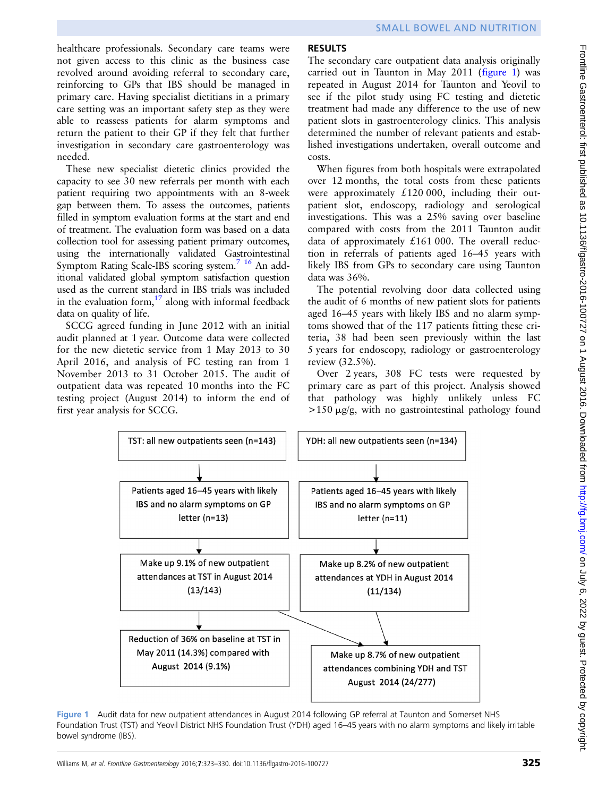healthcare professionals. Secondary care teams were not given access to this clinic as the business case revolved around avoiding referral to secondary care, reinforcing to GPs that IBS should be managed in primary care. Having specialist dietitians in a primary care setting was an important safety step as they were able to reassess patients for alarm symptoms and return the patient to their GP if they felt that further investigation in secondary care gastroenterology was needed.

These new specialist dietetic clinics provided the capacity to see 30 new referrals per month with each patient requiring two appointments with an 8-week gap between them. To assess the outcomes, patients filled in symptom evaluation forms at the start and end of treatment. The evaluation form was based on a data collection tool for assessing patient primary outcomes, using the internationally validated Gastrointestinal Symptom Rating Scale-IBS scoring system[.7](#page-6-0) [16](#page-7-0) An additional validated global symptom satisfaction question used as the current standard in IBS trials was included in the evaluation form,  $^{17}$  $^{17}$  $^{17}$  along with informal feedback data on quality of life.

SCCG agreed funding in June 2012 with an initial audit planned at 1 year. Outcome data were collected for the new dietetic service from 1 May 2013 to 30 April 2016, and analysis of FC testing ran from 1 November 2013 to 31 October 2015. The audit of outpatient data was repeated 10 months into the FC testing project (August 2014) to inform the end of first year analysis for SCCG.

# **RESULTS**

The secondary care outpatient data analysis originally carried out in Taunton in May 2011 (figure 1) was repeated in August 2014 for Taunton and Yeovil to see if the pilot study using FC testing and dietetic treatment had made any difference to the use of new patient slots in gastroenterology clinics. This analysis determined the number of relevant patients and established investigations undertaken, overall outcome and costs.

When figures from both hospitals were extrapolated over 12 months, the total costs from these patients were approximately £120 000, including their outpatient slot, endoscopy, radiology and serological investigations. This was a 25% saving over baseline compared with costs from the 2011 Taunton audit data of approximately £161 000. The overall reduction in referrals of patients aged 16–45 years with likely IBS from GPs to secondary care using Taunton data was 36%.

The potential revolving door data collected using the audit of 6 months of new patient slots for patients aged 16–45 years with likely IBS and no alarm symptoms showed that of the 117 patients fitting these criteria, 38 had been seen previously within the last 5 years for endoscopy, radiology or gastroenterology review (32.5%).

Over 2 years, 308 FC tests were requested by primary care as part of this project. Analysis showed that pathology was highly unlikely unless FC  $>150 \mu g/g$ , with no gastrointestinal pathology found



Figure 1 Audit data for new outpatient attendances in August 2014 following GP referral at Taunton and Somerset NHS Foundation Trust (TST) and Yeovil District NHS Foundation Trust (YDH) aged 16–45 years with no alarm symptoms and likely irritable bowel syndrome (IBS).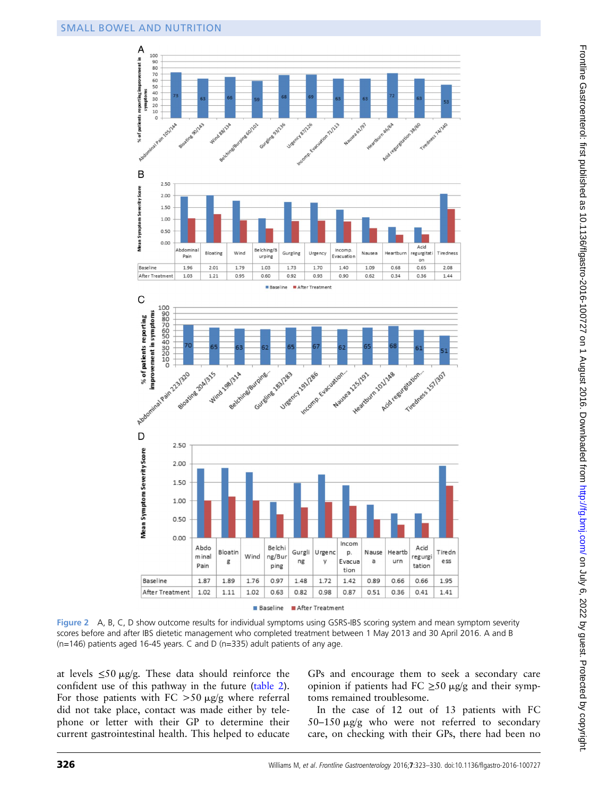

Figure 2 A, B, C, D show outcome results for individual symptoms using GSRS-IBS scoring system and mean symptom severity scores before and after IBS dietetic management who completed treatment between 1 May 2013 and 30 April 2016. A and B (n=146) patients aged 16-45 years. C and D (n=335) adult patients of any age.

at levels  $\leq 50 \mu g/g$ . These data should reinforce the confident use of this pathway in the future ([table 2\)](#page-4-0). For those patients with FC  $>50 \mu g/g$  where referral did not take place, contact was made either by telephone or letter with their GP to determine their current gastrointestinal health. This helped to educate

GPs and encourage them to seek a secondary care opinion if patients had FC  $\geq$ 50 µg/g and their symptoms remained troublesome.

In the case of 12 out of 13 patients with FC  $50-150 \mu g/g$  who were not referred to secondary care, on checking with their GPs, there had been no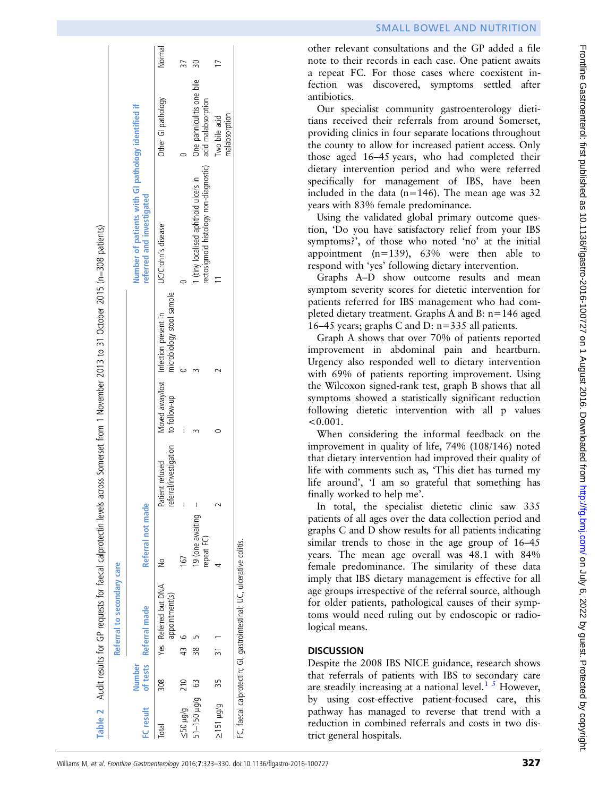other relevant consultations and the GP added a file note to their records in each case. One patient awaits a repeat FC. For those cases where coexistent infection was discovered, symptoms settled after antibiotics.

Our specialist community gastroenterology dietitians received their referrals from around Somerset, providing clinics in four separate locations throughout the county to allow for increased patient access. Only those aged 16–45 years, who had completed their dietary intervention period and who were referred specifically for management of IBS, have been included in the data ( $n=146$ ). The mean age was 32 years with 83% female predominance.

Using the validated global primary outcome question, 'Do you have satisfactory relief from your IBS symptoms?', of those who noted 'no' at the initial appointment  $(n=139)$ ,  $63\%$  were then able to respond with 'yes' following dietary intervention.

Graphs A–D show outcome results and mean symptom severity scores for dietetic intervention for patients referred for IBS management who had completed dietary treatment. Graphs A and B: n=146 aged 16–45 years; graphs C and D: n=335 all patients.

Graph A shows that over 70% of patients reported improvement in abdominal pain and heartburn. Urgency also responded well to dietary intervention with 69% of patients reporting improvement. Using the Wilcoxon signed-rank test, graph B shows that all symptoms showed a statistically significant reduction following dietetic intervention with all p values  $< 0.001$ .

When considering the informal feedback on the improvement in quality of life, 74% (108/146) noted that dietary intervention had improved their quality of life with comments such as, 'This diet has turned my life around', 'I am so grateful that something has finally worked to help me'.

In total, the specialist dietetic clinic saw 335 patients of all ages over the data collection period and graphs C and D show results for all patients indicating similar trends to those in the age group of 16–45 years. The mean age overall was 48.1 with 84% female predominance. The similarity of these data imply that IBS dietary management is effective for all age groups irrespective of the referral source, although for older patients, pathological causes of their symptoms would need ruling out by endoscopic or radiological means.

# **DISCUSSION**

Despite the 2008 IBS NICE guidance, research shows that referrals of patients with IBS to secondary care are steadily increasing at a national level. $1<sup>5</sup>$  However, by using cost-effective patient-focused care, this pathway has managed to reverse that trend with a reduction in combined referrals and costs in two district general hospitals.

<span id="page-4-0"></span>

|                 |        | Referral to secondary care                                             |                                |                                           |              |                                                                                |                                                                                 |                                                 |        |
|-----------------|--------|------------------------------------------------------------------------|--------------------------------|-------------------------------------------|--------------|--------------------------------------------------------------------------------|---------------------------------------------------------------------------------|-------------------------------------------------|--------|
| FC result       | Number | of tests Referral made                                                 | Referral not made              |                                           |              |                                                                                | Number of patients with GI pathology identified if<br>referred and investigated |                                                 |        |
| Total           | 308    | Yes Referred but DNA<br>appointment(s)                                 |                                | referral/investigation<br>Patient refused | to follow-up | Moved away/lost Infection present in<br>to follow-up microbiology stool sample | UC/Crohn's disease                                                              | Other GI pathology                              | Normal |
| 5/bH 05         | 210    | 43                                                                     | $\overline{67}$                | I                                         |              |                                                                                |                                                                                 |                                                 |        |
| 51-150 µg/g     | යි     | 38                                                                     | 19 (one awaiting<br>repeat FC) | I                                         |              |                                                                                | rectosigmoid histology non-diagnostic)<br>(tiny localised aphthoid ulcers in    | One panniculitis one bile<br>acid malabsorption |        |
| $5/511 \mu$ g/g | 35     | $\tilde{ }$                                                            |                                |                                           |              |                                                                                |                                                                                 | malabsorption<br>Two bile acid                  |        |
|                 |        | FC, taecal calprotectin; GI, gastrointestinal; UC, ulcerative colitis. |                                |                                           |              |                                                                                |                                                                                 |                                                 |        |

 $\overline{1}$ 

 $\overline{5}$ 

 $\overline{1}$ 

Frontline Gastroenterol: first published as 10.1136/flgastro-2016-100727 on 1 August 2016. Downloaded from <http://fg.bmj.com/> on July 6, 2022 by guest. Protected by copyright.

Frontline Gastroenterol: first published as 10.1136/flgastro-2016-100727 on 1 August 2016. Downloaded from http://fg.bmj.com/on July 6, 2022 by guest. Protected by copyright.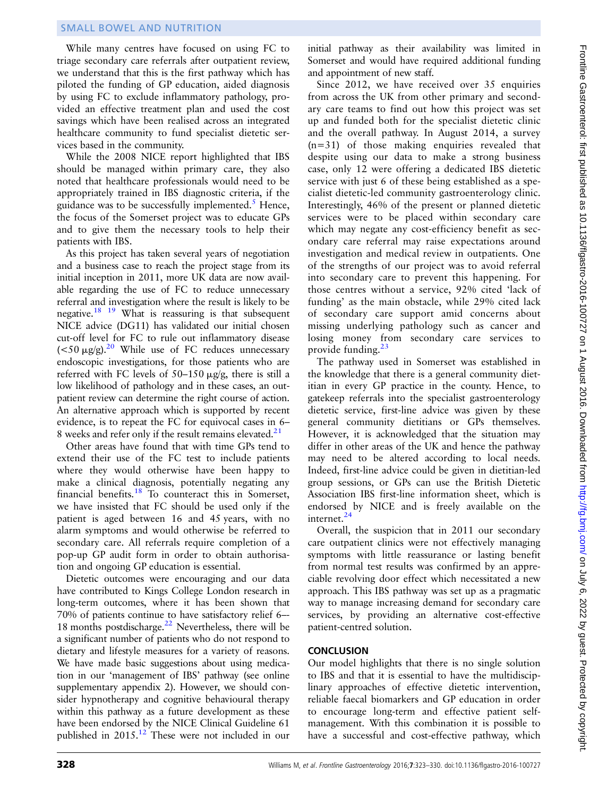### SMALL BOWEL AND NUTRITION

While many centres have focused on using FC to triage secondary care referrals after outpatient review, we understand that this is the first pathway which has piloted the funding of GP education, aided diagnosis by using FC to exclude inflammatory pathology, provided an effective treatment plan and used the cost savings which have been realised across an integrated healthcare community to fund specialist dietetic services based in the community.

While the 2008 NICE report highlighted that IBS should be managed within primary care, they also noted that healthcare professionals would need to be appropriately trained in IBS diagnostic criteria, if the guidance was to be successfully implemented. $<sup>5</sup>$  $<sup>5</sup>$  $<sup>5</sup>$  Hence,</sup> the focus of the Somerset project was to educate GPs and to give them the necessary tools to help their patients with IBS.

As this project has taken several years of negotiation and a business case to reach the project stage from its initial inception in 2011, more UK data are now available regarding the use of FC to reduce unnecessary referral and investigation where the result is likely to be negative.<sup>18 19</sup> What is reassuring is that subsequent NICE advice (DG11) has validated our initial chosen cut-off level for FC to rule out inflammatory disease  $(<50 \mu g/g)<sup>20</sup>$  While use of FC reduces unnecessary endoscopic investigations, for those patients who are referred with FC levels of  $50-150 \mu g/g$ , there is still a low likelihood of pathology and in these cases, an outpatient review can determine the right course of action. An alternative approach which is supported by recent evidence, is to repeat the FC for equivocal cases in 6– 8 weeks and refer only if the result remains elevated.<sup>21</sup>

Other areas have found that with time GPs tend to extend their use of the FC test to include patients where they would otherwise have been happy to make a clinical diagnosis, potentially negating any financial benefits.[18](#page-7-0) To counteract this in Somerset, we have insisted that FC should be used only if the patient is aged between 16 and 45 years, with no alarm symptoms and would otherwise be referred to secondary care. All referrals require completion of a pop-up GP audit form in order to obtain authorisation and ongoing GP education is essential.

Dietetic outcomes were encouraging and our data have contributed to Kings College London research in long-term outcomes, where it has been shown that 70% of patients continue to have satisfactory relief 6–- 18 months postdischarge. $^{22}$  $^{22}$  $^{22}$  Nevertheless, there will be a significant number of patients who do not respond to dietary and lifestyle measures for a variety of reasons. We have made basic suggestions about using medication in our 'management of IBS' pathway (see online supplementary appendix 2). However, we should consider hypnotherapy and cognitive behavioural therapy within this pathway as a future development as these have been endorsed by the NICE Clinical Guideline 61 published in 2015.<sup>[12](#page-6-0)</sup> These were not included in our

initial pathway as their availability was limited in Somerset and would have required additional funding and appointment of new staff.

Since 2012, we have received over 35 enquiries from across the UK from other primary and secondary care teams to find out how this project was set up and funded both for the specialist dietetic clinic and the overall pathway. In August 2014, a survey (n=31) of those making enquiries revealed that despite using our data to make a strong business case, only 12 were offering a dedicated IBS dietetic service with just 6 of these being established as a specialist dietetic-led community gastroenterology clinic. Interestingly, 46% of the present or planned dietetic services were to be placed within secondary care which may negate any cost-efficiency benefit as secondary care referral may raise expectations around investigation and medical review in outpatients. One of the strengths of our project was to avoid referral into secondary care to prevent this happening. For those centres without a service, 92% cited 'lack of funding' as the main obstacle, while 29% cited lack of secondary care support amid concerns about missing underlying pathology such as cancer and losing money from secondary care services to provide funding.<sup>[23](#page-7-0)</sup>

The pathway used in Somerset was established in the knowledge that there is a general community dietitian in every GP practice in the county. Hence, to gatekeep referrals into the specialist gastroenterology dietetic service, first-line advice was given by these general community dietitians or GPs themselves. However, it is acknowledged that the situation may differ in other areas of the UK and hence the pathway may need to be altered according to local needs. Indeed, first-line advice could be given in dietitian-led group sessions, or GPs can use the British Dietetic Association IBS first-line information sheet, which is endorsed by NICE and is freely available on the internet.<sup>[24](#page-7-0)</sup>

Overall, the suspicion that in 2011 our secondary care outpatient clinics were not effectively managing symptoms with little reassurance or lasting benefit from normal test results was confirmed by an appreciable revolving door effect which necessitated a new approach. This IBS pathway was set up as a pragmatic way to manage increasing demand for secondary care services, by providing an alternative cost-effective patient-centred solution.

### **CONCLUSION**

Our model highlights that there is no single solution to IBS and that it is essential to have the multidisciplinary approaches of effective dietetic intervention, reliable faecal biomarkers and GP education in order to encourage long-term and effective patient selfmanagement. With this combination it is possible to have a successful and cost-effective pathway, which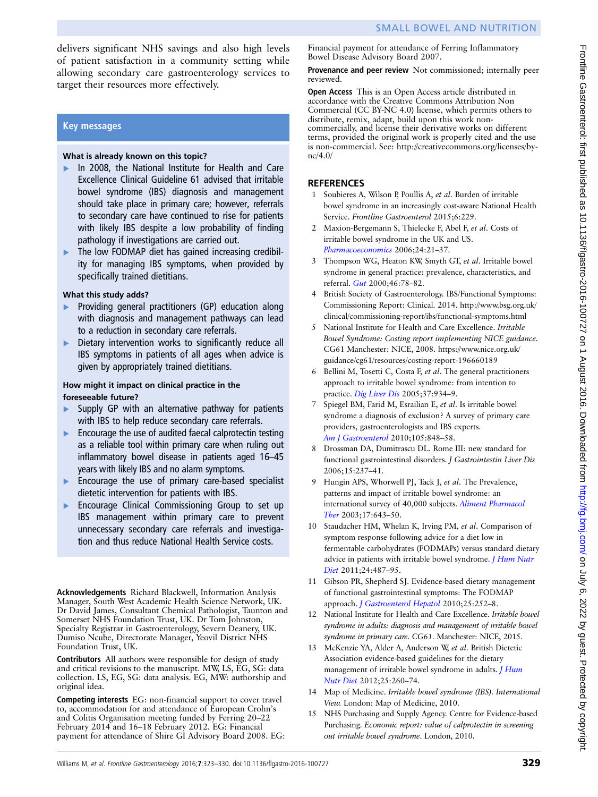<span id="page-6-0"></span>delivers significant NHS savings and also high levels of patient satisfaction in a community setting while allowing secondary care gastroenterology services to target their resources more effectively.

### Key messages

### What is already known on this topic?

- In 2008, the National Institute for Health and Care Excellence Clinical Guideline 61 advised that irritable bowel syndrome (IBS) diagnosis and management should take place in primary care; however, referrals to secondary care have continued to rise for patients with likely IBS despite a low probability of finding pathology if investigations are carried out.
- ▸ The low FODMAP diet has gained increasing credibility for managing IBS symptoms, when provided by specifically trained dietitians.

### What this study adds?

- Providing general practitioners (GP) education along with diagnosis and management pathways can lead to a reduction in secondary care referrals.
- Dietary intervention works to significantly reduce all IBS symptoms in patients of all ages when advice is given by appropriately trained dietitians.

### How might it impact on clinical practice in the foreseeable future?

- Supply GP with an alternative pathway for patients with IBS to help reduce secondary care referrals.
- ▸ Encourage the use of audited faecal calprotectin testing as a reliable tool within primary care when ruling out inflammatory bowel disease in patients aged 16–45 years with likely IBS and no alarm symptoms.
- ▸ Encourage the use of primary care-based specialist dietetic intervention for patients with IBS.
- ▸ Encourage Clinical Commissioning Group to set up IBS management within primary care to prevent unnecessary secondary care referrals and investigation and thus reduce National Health Service costs.

Acknowledgements Richard Blackwell, Information Analysis Manager, South West Academic Health Science Network, UK. Dr David James, Consultant Chemical Pathologist, Taunton and Somerset NHS Foundation Trust, UK. Dr Tom Johnston, Specialty Registrar in Gastroenterology, Severn Deanery, UK. Dumiso Ncube, Directorate Manager, Yeovil District NHS Foundation Trust, UK.

Contributors All authors were responsible for design of study and critical revisions to the manuscript. MW, LS, EG, SG: data collection. LS, EG, SG: data analysis. EG, MW: authorship and original idea.

Competing interests EG: non-financial support to cover travel to, accommodation for and attendance of European Crohn's and Colitis Organisation meeting funded by Ferring 20–22 February 2014 and 16–18 February 2012. EG: Financial payment for attendance of Shire GI Advisory Board 2008. EG: Financial payment for attendance of Ferring Inflammatory Bowel Disease Advisory Board 2007.

Provenance and peer review Not commissioned; internally peer reviewed.

Open Access This is an Open Access article distributed in accordance with the Creative Commons Attribution Non Commercial (CC BY-NC 4.0) license, which permits others to distribute, remix, adapt, build upon this work noncommercially, and license their derivative works on different terms, provided the original work is properly cited and the use is non-commercial. See: [http://creativecommons.org/licenses/by](http://creativecommons.org/licenses/by-nc/4.0/)[nc/4.0/](http://creativecommons.org/licenses/by-nc/4.0/)

### **REFERENCES**

- 1 Soubieres A, Wilson P, Poullis A, et al. Burden of irritable bowel syndrome in an increasingly cost-aware National Health Service. Frontline Gastroenterol 2015;6:229.
- Maxion-Bergemann S, Thielecke F, Abel F, et al. Costs of irritable bowel syndrome in the UK and US. [Pharmacoeconomics](http://dx.doi.org/10.2165/00019053-200624010-00002) 2006;24:21–37.
- 3 Thompson WG, Heaton KW, Smyth GT, et al. Irritable bowel syndrome in general practice: prevalence, characteristics, and referral. [Gut](http://dx.doi.org/10.1136/gut.46.1.78) 2000;46:78–82.
- British Society of Gastroenterology. IBS/Functional Symptoms: Commissioning Report: Clinical. 2014. [http://www.bsg.org.uk/](http://www.bsg.org.uk/clinical/commissioning-report/ibs/functional-symptoms.html) [clinical/commissioning-report/ibs/functional-symptoms.html](http://www.bsg.org.uk/clinical/commissioning-report/ibs/functional-symptoms.html)
- 5 National Institute for Health and Care Excellence. Irritable Bowel Syndrome: Costing report implementing NICE guidance. CG61 Manchester: NICE, 2008. [https://www.nice.org.uk/](https://www.nice.org.uk/guidance/cg61/resources/costing-report-196660189) [guidance/cg61/resources/costing-report-196660189](https://www.nice.org.uk/guidance/cg61/resources/costing-report-196660189)
- 6 Bellini M, Tosetti C, Costa F, et al. The general practitioners approach to irritable bowel syndrome: from intention to practice. [Dig Liver Dis](http://dx.doi.org/10.1016/j.dld.2005.06.011) 2005;37:934–9.
- 7 Spiegel BM, Farid M, Esrailian E, et al. Is irritable bowel syndrome a diagnosis of exclusion? A survey of primary care providers, gastroenterologists and IBS experts. [Am J Gastroenterol](http://dx.doi.org/10.1038/ajg.2010.47) 2010;105:848–58.
- 8 Drossman DA, Dumitrascu DL. Rome III: new standard for functional gastrointestinal disorders. J Gastrointestin Liver Dis 2006;15:237–41.
- 9 Hungin APS, Whorwell PJ, Tack J, et al. The Prevalence, patterns and impact of irritable bowel syndrome: an international survey of 40,000 subjects. [Aliment Pharmacol](http://dx.doi.org/10.1046/j.1365-2036.2003.01456.x) [Ther](http://dx.doi.org/10.1046/j.1365-2036.2003.01456.x) 2003;17:643–50.
- 10 Staudacher HM, Whelan K, Irving PM, et al. Comparison of symptom response following advice for a diet low in fermentable carbohydrates (FODMAPs) versus standard dietary advice in patients with irritable bowel syndrome. *[J Hum Nutr](http://dx.doi.org/10.1111/j.1365-277X.2011.01162.x)* [Diet](http://dx.doi.org/10.1111/j.1365-277X.2011.01162.x) 2011;24:487–95.
- 11 Gibson PR, Shepherd SJ. Evidence-based dietary management of functional gastrointestinal symptoms: The FODMAP approach. [J Gastroenterol Hepatol](http://dx.doi.org/10.1111/j.1440-1746.2009.06149.x) 2010;25:252–8.
- 12 National Institute for Health and Care Excellence. Irritable bowel syndrome in adults: diagnosis and management of irritable bowel syndrome in primary care. CG61. Manchester: NICE, 2015.
- 13 McKenzie YA, Alder A, Anderson W, et al. British Dietetic Association evidence-based guidelines for the dietary management of irritable bowel syndrome in adults. *[J Hum](http://dx.doi.org/10.1111/j.1365-277X.2012.01242.x)* [Nutr Diet](http://dx.doi.org/10.1111/j.1365-277X.2012.01242.x) 2012;25:260–74.
- 14 Map of Medicine. Irritable bowel syndrome (IBS). International View. London: Map of Medicine, 2010.
- 15 NHS Purchasing and Supply Agency. Centre for Evidence-based Purchasing. Economic report: value of calprotectin in screening out irritable bowel syndrome. London, 2010.